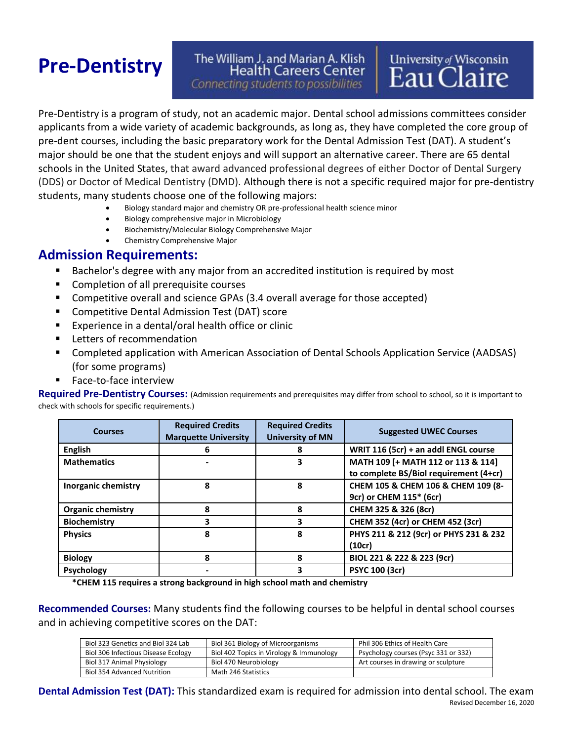# **Pre-Dentistry**

## The William J. and Marian A. Klish **Health Careers Center**

Connecting students to possibilities

# **University of Wisconsin** Eau Claire

Pre-Dentistry is a program of study, not an academic major. Dental school admissions committees consider applicants from a wide variety of academic backgrounds, as long as, they have completed the core group of pre‐dent courses, including the basic preparatory work for the Dental Admission Test (DAT). A student's major should be one that the student enjoys and will support an alternative career. There are 65 dental schools in the United States, that award advanced professional degrees of either Doctor of Dental Surgery (DDS) or Doctor of Medical Dentistry (DMD). Although there is not a specific required major for pre-dentistry students, many students choose one of the following majors:

- Biology standard major and chemistry OR pre-professional health science minor
- Biology comprehensive major in Microbiology
- Biochemistry/Molecular Biology Comprehensive Major
- Chemistry Comprehensive Major

#### **Admission Requirements:**

- **EXE** Bachelor's degree with any major from an accredited institution is required by most
- Completion of all prerequisite courses
- Competitive overall and science GPAs (3.4 overall average for those accepted)
- Competitive Dental Admission Test (DAT) score
- Experience in a dental/oral health office or clinic
- Letters of recommendation
- Completed application with American Association of Dental Schools Application Service (AADSAS) (for some programs)
- Face-to-face interview

**Required Pre-Dentistry Courses:** (Admission requirements and prerequisites may differ from school to school, so it is important to check with schools for specific requirements.)

| <b>Courses</b>             | <b>Required Credits</b><br><b>Marquette University</b> | <b>Required Credits</b><br><b>University of MN</b> | <b>Suggested UWEC Courses</b>                                                |
|----------------------------|--------------------------------------------------------|----------------------------------------------------|------------------------------------------------------------------------------|
| <b>English</b>             | 6                                                      |                                                    | WRIT 116 (5cr) + an addl ENGL course                                         |
| <b>Mathematics</b>         |                                                        | 3                                                  | MATH 109 [+ MATH 112 or 113 & 114]<br>to complete BS/Biol requirement (4+cr) |
| <b>Inorganic chemistry</b> | 8                                                      | 8                                                  | CHEM 105 & CHEM 106 & CHEM 109 (8-<br>9cr) or CHEM 115* (6cr)                |
| <b>Organic chemistry</b>   | 8                                                      | 8                                                  | CHEM 325 & 326 (8cr)                                                         |
| <b>Biochemistry</b>        | 3                                                      | 3                                                  | CHEM 352 (4cr) or CHEM 452 (3cr)                                             |
| <b>Physics</b>             | 8                                                      | 8                                                  | PHYS 211 & 212 (9cr) or PHYS 231 & 232<br>(10cr)                             |
| <b>Biology</b>             | 8                                                      | Զ                                                  | BIOL 221 & 222 & 223 (9cr)                                                   |
| <b>Psychology</b>          |                                                        | 3                                                  | <b>PSYC 100 (3cr)</b>                                                        |

**\*CHEM 115 requires a strong background in high school math and chemistry**

**Recommended Courses:** Many students find the following courses to be helpful in dental school courses and in achieving competitive scores on the DAT:

| Biol 323 Genetics and Biol 324 Lab  | Biol 361 Biology of Microorganisms       | Phil 306 Ethics of Health Care       |
|-------------------------------------|------------------------------------------|--------------------------------------|
| Biol 306 Infectious Disease Ecology | Biol 402 Topics in Virology & Immunology | Psychology courses (Psyc 331 or 332) |
| Biol 317 Animal Physiology          | Biol 470 Neurobiology                    | Art courses in drawing or sculpture  |
| Biol 354 Advanced Nutrition         | Math 246 Statistics                      |                                      |

Revised December 16, 2020 **Dental Admission Test (DAT):** This standardized exam is required for admission into dental school. The exam